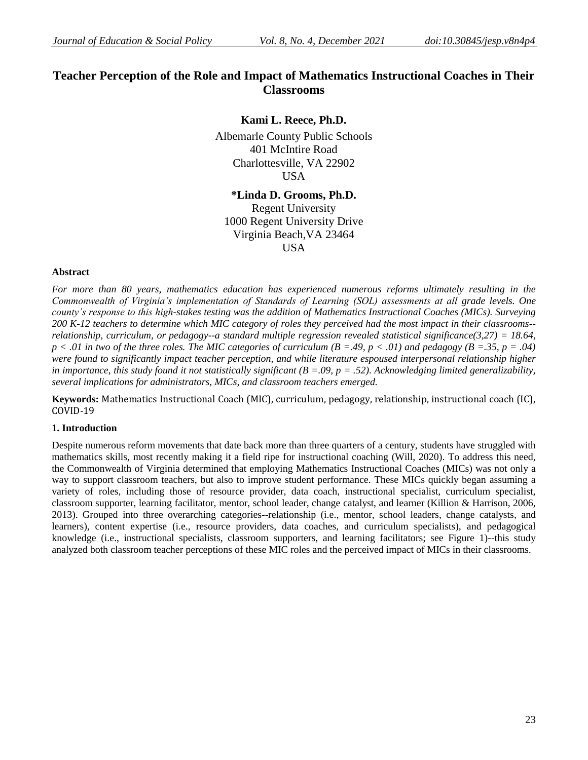# **Teacher Perception of the Role and Impact of Mathematics Instructional Coaches in Their Classrooms**

# **Kami L. Reece, Ph.D.**

Albemarle County Public Schools 401 McIntire Road Charlottesville, VA 22902 USA

# **\*Linda D. Grooms, Ph.D.**

Regent University 1000 Regent University Drive Virginia Beach,VA 23464 USA

### **Abstract**

*For more than 80 years, mathematics education has experienced numerous reforms ultimately resulting in the Commonwealth of Virginia's implementation of Standards of Learning (SOL) assessments at all grade levels. One county's response to this high-stakes testing was the addition of Mathematics Instructional Coaches (MICs). Surveying 200 K-12 teachers to determine which MIC category of roles they perceived had the most impact in their classrooms- relationship, curriculum, or pedagogy--a standard multiple regression revealed statistical significance(3,27) = 18.64,*   $p < .01$  in two of the three roles. The MIC categories of curriculum  $(B = .49, p < .01)$  and pedagogy  $(B = .35, p = .04)$ *were found to significantly impact teacher perception, and while literature espoused interpersonal relationship higher in importance, this study found it not statistically significant*  $(B = .09, p = .52)$ *. Acknowledging limited generalizability, several implications for administrators, MICs, and classroom teachers emerged.*

**Keywords:** Mathematics Instructional Coach (MIC), curriculum, pedagogy, relationship, instructional coach (IC), COVID-19

# **1. Introduction**

Despite numerous reform movements that date back more than three quarters of a century, students have struggled with mathematics skills, most recently making it a field ripe for instructional coaching (Will, 2020). To address this need, the Commonwealth of Virginia determined that employing Mathematics Instructional Coaches (MICs) was not only a way to support classroom teachers, but also to improve student performance. These MICs quickly began assuming a variety of roles, including those of resource provider, data coach, instructional specialist, curriculum specialist, classroom supporter, learning facilitator, mentor, school leader, change catalyst, and learner (Killion & Harrison, 2006, 2013). Grouped into three overarching categories--relationship (i.e., mentor, school leaders, change catalysts, and learners), content expertise (i.e., resource providers, data coaches, and curriculum specialists), and pedagogical knowledge (i.e., instructional specialists, classroom supporters, and learning facilitators; see Figure 1)--this study analyzed both classroom teacher perceptions of these MIC roles and the perceived impact of MICs in their classrooms.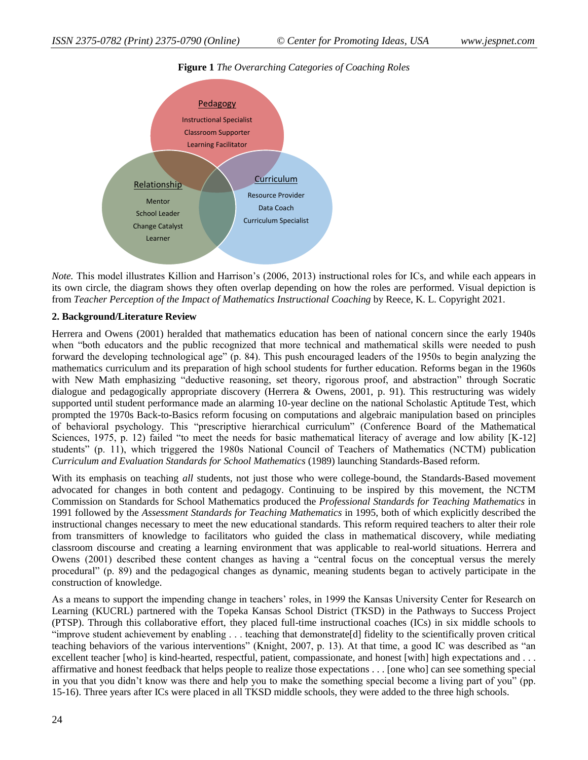

# **Figure 1** *The Overarching Categories of Coaching Roles*

*Note.* This model illustrates Killion and Harrison's (2006, 2013) instructional roles for ICs, and while each appears in its own circle, the diagram shows they often overlap depending on how the roles are performed. Visual depiction is from *Teacher Perception of the Impact of Mathematics Instructional Coaching* by Reece, K. L. Copyright 2021.

# **2. Background/Literature Review**

Herrera and Owens (2001) heralded that mathematics education has been of national concern since the early 1940s when "both educators and the public recognized that more technical and mathematical skills were needed to push forward the developing technological age" (p. 84). This push encouraged leaders of the 1950s to begin analyzing the mathematics curriculum and its preparation of high school students for further education. Reforms began in the 1960s with New Math emphasizing "deductive reasoning, set theory, rigorous proof, and abstraction" through Socratic dialogue and pedagogically appropriate discovery (Herrera & Owens, 2001, p. 91). This restructuring was widely supported until student performance made an alarming 10-year decline on the national Scholastic Aptitude Test, which prompted the 1970s Back-to-Basics reform focusing on computations and algebraic manipulation based on principles of behavioral psychology. This "prescriptive hierarchical curriculum" (Conference Board of the Mathematical Sciences, 1975, p. 12) failed "to meet the needs for basic mathematical literacy of average and low ability [K-12] students" (p. 11), which triggered the 1980s National Council of Teachers of Mathematics (NCTM) publication *Curriculum and Evaluation Standards for School Mathematics* (1989) launching Standards-Based reform.

With its emphasis on teaching *all* students, not just those who were college-bound, the Standards-Based movement advocated for changes in both content and pedagogy. Continuing to be inspired by this movement, the NCTM Commission on Standards for School Mathematics produced the *Professional Standards for Teaching Mathematics* in 1991 followed by the *Assessment Standards for Teaching Mathematics* in 1995, both of which explicitly described the instructional changes necessary to meet the new educational standards. This reform required teachers to alter their role from transmitters of knowledge to facilitators who guided the class in mathematical discovery, while mediating classroom discourse and creating a learning environment that was applicable to real-world situations. Herrera and Owens (2001) described these content changes as having a "central focus on the conceptual versus the merely procedural" (p. 89) and the pedagogical changes as dynamic, meaning students began to actively participate in the construction of knowledge.

As a means to support the impending change in teachers' roles, in 1999 the Kansas University Center for Research on Learning (KUCRL) partnered with the Topeka Kansas School District (TKSD) in the Pathways to Success Project (PTSP). Through this collaborative effort, they placed full-time instructional coaches (ICs) in six middle schools to "improve student achievement by enabling . . . teaching that demonstrate[d] fidelity to the scientifically proven critical teaching behaviors of the various interventions" (Knight, 2007, p. 13). At that time, a good IC was described as "an excellent teacher [who] is kind-hearted, respectful, patient, compassionate, and honest [with] high expectations and . . . affirmative and honest feedback that helps people to realize those expectations . . . [one who] can see something special in you that you didn't know was there and help you to make the something special become a living part of you" (pp. 15-16). Three years after ICs were placed in all TKSD middle schools, they were added to the three high schools.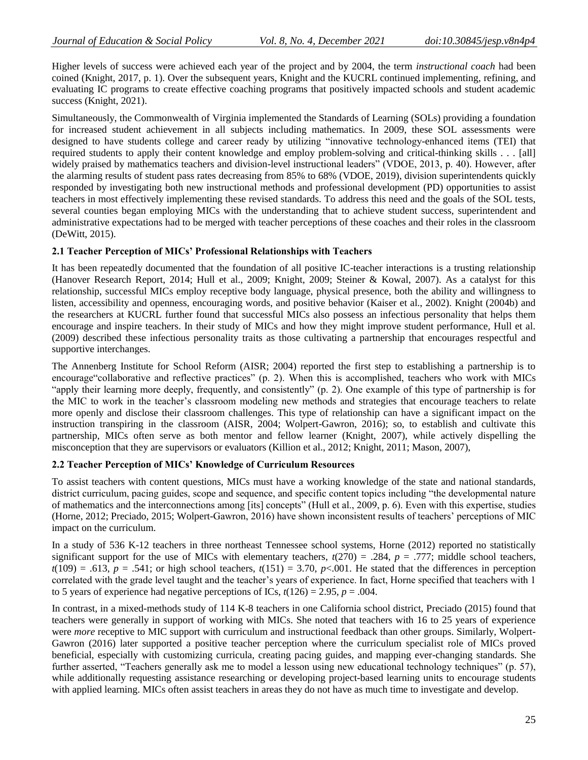Higher levels of success were achieved each year of the project and by 2004, the term *instructional coach* had been coined (Knight, 2017, p. 1). Over the subsequent years, Knight and the KUCRL continued implementing, refining, and evaluating IC programs to create effective coaching programs that positively impacted schools and student academic success (Knight, 2021).

Simultaneously, the Commonwealth of Virginia implemented the Standards of Learning (SOLs) providing a foundation for increased student achievement in all subjects including mathematics. In 2009, these SOL assessments were designed to have students college and career ready by utilizing "innovative technology-enhanced items (TEI) that required students to apply their content knowledge and employ problem-solving and critical-thinking skills . . . [all] widely praised by mathematics teachers and division-level instructional leaders" (VDOE, 2013, p. 40). However, after the alarming results of student pass rates decreasing from 85% to 68% (VDOE, 2019), division superintendents quickly responded by investigating both new instructional methods and professional development (PD) opportunities to assist teachers in most effectively implementing these revised standards. To address this need and the goals of the SOL tests, several counties began employing MICs with the understanding that to achieve student success, superintendent and administrative expectations had to be merged with teacher perceptions of these coaches and their roles in the classroom (DeWitt, 2015).

# **2.1 Teacher Perception of MICs' Professional Relationships with Teachers**

It has been repeatedly documented that the foundation of all positive IC-teacher interactions is a trusting relationship (Hanover Research Report, 2014; Hull et al., 2009; Knight, 2009; Steiner & Kowal, 2007). As a catalyst for this relationship, successful MICs employ receptive body language, physical presence, both the ability and willingness to listen, accessibility and openness, encouraging words, and positive behavior (Kaiser et al., 2002). Knight (2004b) and the researchers at KUCRL further found that successful MICs also possess an infectious personality that helps them encourage and inspire teachers. In their study of MICs and how they might improve student performance, Hull et al. (2009) described these infectious personality traits as those cultivating a partnership that encourages respectful and supportive interchanges.

The Annenberg Institute for School Reform (AISR; 2004) reported the first step to establishing a partnership is to encourage"collaborative and reflective practices" (p. 2). When this is accomplished, teachers who work with MICs "apply their learning more deeply, frequently, and consistently" (p. 2). One example of this type of partnership is for the MIC to work in the teacher's classroom modeling new methods and strategies that encourage teachers to relate more openly and disclose their classroom challenges. This type of relationship can have a significant impact on the instruction transpiring in the classroom (AISR, 2004; Wolpert-Gawron, 2016); so, to establish and cultivate this partnership, MICs often serve as both mentor and fellow learner (Knight, 2007), while actively dispelling the misconception that they are supervisors or evaluators (Killion et al., 2012; Knight, 2011; Mason, 2007),

# **2.2 Teacher Perception of MICs' Knowledge of Curriculum Resources**

To assist teachers with content questions, MICs must have a working knowledge of the state and national standards, district curriculum, pacing guides, scope and sequence, and specific content topics including "the developmental nature of mathematics and the interconnections among [its] concepts" (Hull et al., 2009, p. 6). Even with this expertise, studies (Horne, 2012; Preciado, 2015; Wolpert-Gawron, 2016) have shown inconsistent results of teachers' perceptions of MIC impact on the curriculum.

In a study of 536 K-12 teachers in three northeast Tennessee school systems, Horne (2012) reported no statistically significant support for the use of MICs with elementary teachers,  $t(270) = .284$ ,  $p = .777$ ; middle school teachers,  $t(109) = .613$ ,  $p = .541$ ; or high school teachers,  $t(151) = 3.70$ ,  $p<0.01$ . He stated that the differences in perception correlated with the grade level taught and the teacher's years of experience. In fact, Horne specified that teachers with 1 to 5 years of experience had negative perceptions of ICs,  $t(126) = 2.95$ ,  $p = .004$ .

In contrast, in a mixed-methods study of 114 K-8 teachers in one California school district, Preciado (2015) found that teachers were generally in support of working with MICs. She noted that teachers with 16 to 25 years of experience were *more* receptive to MIC support with curriculum and instructional feedback than other groups. Similarly, Wolpert-Gawron (2016) later supported a positive teacher perception where the curriculum specialist role of MICs proved beneficial, especially with customizing curricula, creating pacing guides, and mapping ever-changing standards. She further asserted, "Teachers generally ask me to model a lesson using new educational technology techniques" (p. 57), while additionally requesting assistance researching or developing project-based learning units to encourage students with applied learning. MICs often assist teachers in areas they do not have as much time to investigate and develop.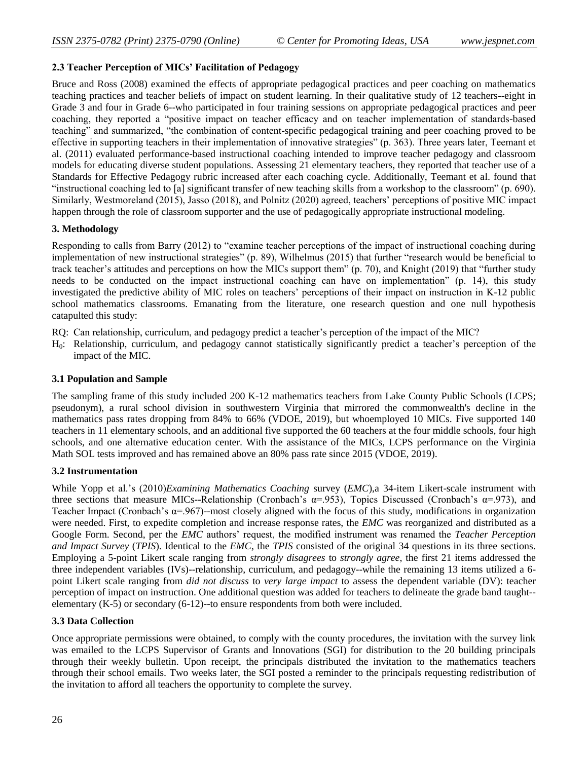### **2.3 Teacher Perception of MICs' Facilitation of Pedagogy**

Bruce and Ross (2008) examined the effects of appropriate pedagogical practices and peer coaching on mathematics teaching practices and teacher beliefs of impact on student learning. In their qualitative study of 12 teachers--eight in Grade 3 and four in Grade 6--who participated in four training sessions on appropriate pedagogical practices and peer coaching, they reported a "positive impact on teacher efficacy and on teacher implementation of standards-based teaching" and summarized, "the combination of content-specific pedagogical training and peer coaching proved to be effective in supporting teachers in their implementation of innovative strategies" (p. 363). Three years later, Teemant et al. (2011) evaluated performance-based instructional coaching intended to improve teacher pedagogy and classroom models for educating diverse student populations. Assessing 21 elementary teachers, they reported that teacher use of a Standards for Effective Pedagogy rubric increased after each coaching cycle. Additionally, Teemant et al. found that "instructional coaching led to [a] significant transfer of new teaching skills from a workshop to the classroom" (p. 690). Similarly, Westmoreland (2015), Jasso (2018), and Polnitz (2020) agreed, teachers' perceptions of positive MIC impact happen through the role of classroom supporter and the use of pedagogically appropriate instructional modeling.

### **3. Methodology**

Responding to calls from Barry (2012) to "examine teacher perceptions of the impact of instructional coaching during implementation of new instructional strategies" (p. 89), Wilhelmus (2015) that further "research would be beneficial to track teacher's attitudes and perceptions on how the MICs support them" (p. 70), and Knight (2019) that "further study needs to be conducted on the impact instructional coaching can have on implementation" (p. 14), this study investigated the predictive ability of MIC roles on teachers' perceptions of their impact on instruction in K-12 public school mathematics classrooms. Emanating from the literature, one research question and one null hypothesis catapulted this study:

RQ: Can relationship, curriculum, and pedagogy predict a teacher's perception of the impact of the MIC?

H0: Relationship, curriculum, and pedagogy cannot statistically significantly predict a teacher's perception of the impact of the MIC.

#### **3.1 Population and Sample**

The sampling frame of this study included 200 K-12 mathematics teachers from Lake County Public Schools (LCPS; pseudonym), a rural school division in southwestern Virginia that mirrored the commonwealth's decline in the mathematics pass rates dropping from 84% to 66% (VDOE, 2019), but whoemployed 10 MICs. Five supported 140 teachers in 11 elementary schools, and an additional five supported the 60 teachers at the four middle schools, four high schools, and one alternative education center. With the assistance of the MICs, LCPS performance on the Virginia Math SOL tests improved and has remained above an 80% pass rate since 2015 (VDOE, 2019).

#### **3.2 Instrumentation**

While Yopp et al.'s (2010)*Examining Mathematics Coaching* survey (*EMC*),a 34-item Likert-scale instrument with three sections that measure MICs--Relationship (Cronbach's  $\alpha$ =.953), Topics Discussed (Cronbach's  $\alpha$ =.973), and Teacher Impact (Cronbach's  $\alpha$ =.967)--most closely aligned with the focus of this study, modifications in organization were needed. First, to expedite completion and increase response rates, the *EMC* was reorganized and distributed as a Google Form. Second, per the *EMC* authors' request, the modified instrument was renamed the *Teacher Perception and Impact Survey* (*TPIS*). Identical to the *EMC*, the *TPIS* consisted of the original 34 questions in its three sections. Employing a 5-point Likert scale ranging from *strongly disagrees* to *strongly agree*, the first 21 items addressed the three independent variables (IVs)--relationship, curriculum, and pedagogy--while the remaining 13 items utilized a 6 point Likert scale ranging from *did not discuss* to *very large impact* to assess the dependent variable (DV): teacher perception of impact on instruction. One additional question was added for teachers to delineate the grade band taught- elementary (K-5) or secondary (6-12)--to ensure respondents from both were included.

#### **3.3 Data Collection**

Once appropriate permissions were obtained, to comply with the county procedures, the invitation with the survey link was emailed to the LCPS Supervisor of Grants and Innovations (SGI) for distribution to the 20 building principals through their weekly bulletin. Upon receipt, the principals distributed the invitation to the mathematics teachers through their school emails. Two weeks later, the SGI posted a reminder to the principals requesting redistribution of the invitation to afford all teachers the opportunity to complete the survey.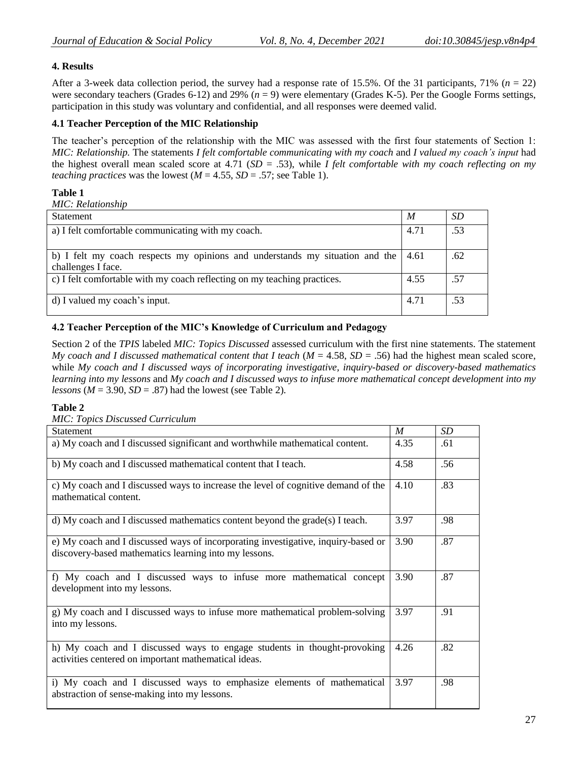# **4. Results**

After a 3-week data collection period, the survey had a response rate of 15.5%. Of the 31 participants,  $71\%$  ( $n = 22$ ) were secondary teachers (Grades 6-12) and 29% ( $n = 9$ ) were elementary (Grades K-5). Per the Google Forms settings, participation in this study was voluntary and confidential, and all responses were deemed valid.

# **4.1 Teacher Perception of the MIC Relationship**

The teacher's perception of the relationship with the MIC was assessed with the first four statements of Section 1: *MIC: Relationship.* The statements *I felt comfortable communicating with my coach* and *I valued my coach's input* had the highest overall mean scaled score at 4.71 (*SD* = .53), while *I felt comfortable with my coach reflecting on my teaching practices* was the lowest ( $M = 4.55$ ,  $SD = .57$ ; see Table 1).

# **Table 1**

*MIC: Relationship*

| <b>Statement</b>                                                             | M    | <i>SD</i> |
|------------------------------------------------------------------------------|------|-----------|
| a) I felt comfortable communicating with my coach.                           | 4.71 | .53       |
|                                                                              |      |           |
| b) I felt my coach respects my opinions and understands my situation and the | 4.61 | .62       |
| challenges I face.                                                           |      |           |
| c) I felt comfortable with my coach reflecting on my teaching practices.     | 4.55 | .57       |
| d) I valued my coach's input.                                                | 4.71 | .53       |

# **4.2 Teacher Perception of the MIC's Knowledge of Curriculum and Pedagogy**

Section 2 of the *TPIS* labeled *MIC: Topics Discussed* assessed curriculum with the first nine statements. The statement *My coach and I discussed mathematical content that I teach* ( $M = 4.58$ ,  $SD = .56$ ) had the highest mean scaled score, while *My coach and I discussed ways of incorporating investigative, inquiry-based or discovery-based mathematics learning into my lessons* and *My coach and I discussed ways to infuse more mathematical concept development into my lessons* ( $M = 3.90$ ,  $SD = .87$ ) had the lowest (see Table 2).

# **Table 2**

| <b>MIC: Topics Discussed Curriculum</b>                                                                                                    |                  |                 |
|--------------------------------------------------------------------------------------------------------------------------------------------|------------------|-----------------|
| <b>Statement</b>                                                                                                                           | $\boldsymbol{M}$ | SD <sub>-</sub> |
| a) My coach and I discussed significant and worthwhile mathematical content.                                                               | 4.35             | .61             |
| b) My coach and I discussed mathematical content that I teach.                                                                             | 4.58             | .56             |
| c) My coach and I discussed ways to increase the level of cognitive demand of the<br>mathematical content.                                 | 4.10             | .83             |
| d) My coach and I discussed mathematics content beyond the grade(s) I teach.                                                               | 3.97             | .98             |
| e) My coach and I discussed ways of incorporating investigative, inquiry-based or<br>discovery-based mathematics learning into my lessons. | 3.90             | .87             |
| f) My coach and I discussed ways to infuse more mathematical concept<br>development into my lessons.                                       | 3.90             | .87             |
| g) My coach and I discussed ways to infuse more mathematical problem-solving<br>into my lessons.                                           | 3.97             | .91             |
| h) My coach and I discussed ways to engage students in thought-provoking<br>activities centered on important mathematical ideas.           | 4.26             | .82             |
| i) My coach and I discussed ways to emphasize elements of mathematical<br>abstraction of sense-making into my lessons.                     | 3.97             | .98             |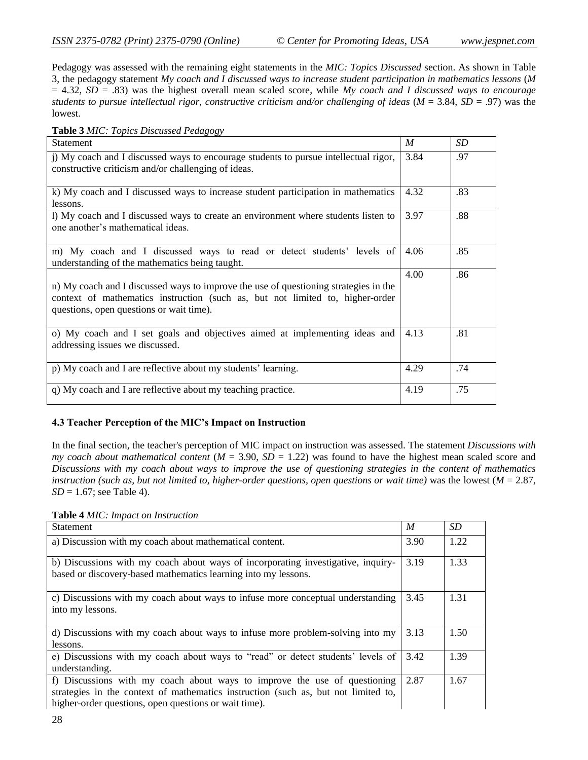Pedagogy was assessed with the remaining eight statements in the *MIC: Topics Discussed* section. As shown in Table 3, the pedagogy statement *My coach and I discussed ways to increase student participation in mathematics lessons* (*M* = 4.32, *SD* = .83) was the highest overall mean scaled score, while *My coach and I discussed ways to encourage students to pursue intellectual rigor, constructive criticism and/or challenging of ideas*  $(M = 3.84, SD = .97)$  *was the* lowest.

**Table 3** *MIC: Topics Discussed Pedagogy*

| <b>Statement</b>                                                                                                                                                                                                  | M    | <b>SD</b> |
|-------------------------------------------------------------------------------------------------------------------------------------------------------------------------------------------------------------------|------|-----------|
| j) My coach and I discussed ways to encourage students to pursue intellectual rigor,<br>constructive criticism and/or challenging of ideas.                                                                       | 3.84 | .97       |
| k) My coach and I discussed ways to increase student participation in mathematics<br>lessons.                                                                                                                     | 4.32 | .83       |
| 1) My coach and I discussed ways to create an environment where students listen to<br>one another's mathematical ideas.                                                                                           | 3.97 | .88       |
| m) My coach and I discussed ways to read or detect students' levels of<br>understanding of the mathematics being taught.                                                                                          | 4.06 | .85       |
| n) My coach and I discussed ways to improve the use of questioning strategies in the<br>context of mathematics instruction (such as, but not limited to, higher-order<br>questions, open questions or wait time). | 4.00 | .86       |
| o) My coach and I set goals and objectives aimed at implementing ideas and<br>addressing issues we discussed.                                                                                                     | 4.13 | .81       |
| p) My coach and I are reflective about my students' learning.                                                                                                                                                     | 4.29 | .74       |
| q) My coach and I are reflective about my teaching practice.                                                                                                                                                      | 4.19 | .75       |

# **4.3 Teacher Perception of the MIC's Impact on Instruction**

In the final section, the teacher's perception of MIC impact on instruction was assessed. The statement *Discussions with my coach about mathematical content* (*M* = 3.90, *SD* = 1.22) was found to have the highest mean scaled score and *Discussions with my coach about ways to improve the use of questioning strategies in the content of mathematics instruction (such as, but not limited to, higher-order questions, open questions or wait time)* was the lowest  $(M = 2.87)$ , *SD* = 1.67; see Table 4).

**Table 4** *MIC: Impact on Instruction*

| Statement                                                                                                                                                                                                                | M    | <i>SD</i> |
|--------------------------------------------------------------------------------------------------------------------------------------------------------------------------------------------------------------------------|------|-----------|
| a) Discussion with my coach about mathematical content.                                                                                                                                                                  | 3.90 | 1.22      |
| b) Discussions with my coach about ways of incorporating investigative, inquiry-<br>based or discovery-based mathematics learning into my lessons.                                                                       | 3.19 | 1.33      |
| c) Discussions with my coach about ways to infuse more conceptual understanding<br>into my lessons.                                                                                                                      | 3.45 | 1.31      |
| d) Discussions with my coach about ways to infuse more problem-solving into my<br>lessons.                                                                                                                               | 3.13 | 1.50      |
| e) Discussions with my coach about ways to "read" or detect students' levels of<br>understanding.                                                                                                                        | 3.42 | 1.39      |
| f) Discussions with my coach about ways to improve the use of questioning<br>strategies in the context of mathematics instruction (such as, but not limited to,<br>higher-order questions, open questions or wait time). | 2.87 | 1.67      |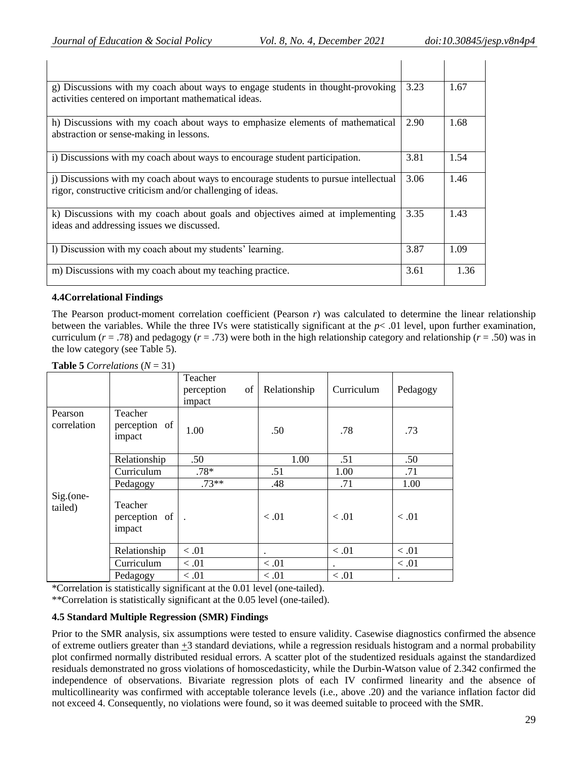| g) Discussions with my coach about ways to engage students in thought-provoking<br>activities centered on important mathematical ideas.         | 3.23 | 1.67 |
|-------------------------------------------------------------------------------------------------------------------------------------------------|------|------|
| h) Discussions with my coach about ways to emphasize elements of mathematical<br>abstraction or sense-making in lessons.                        | 2.90 | 1.68 |
| i) Discussions with my coach about ways to encourage student participation.                                                                     | 3.81 | 1.54 |
| Discussions with my coach about ways to encourage students to pursue intellectual<br>rigor, constructive criticism and/or challenging of ideas. | 3.06 | 1.46 |
| k) Discussions with my coach about goals and objectives aimed at implementing<br>ideas and addressing issues we discussed.                      | 3.35 | 1.43 |
| I) Discussion with my coach about my students' learning.                                                                                        | 3.87 | 1.09 |
| m) Discussions with my coach about my teaching practice.                                                                                        | 3.61 | 1.36 |

### **4.4Correlational Findings**

The Pearson product-moment correlation coefficient (Pearson *r*) was calculated to determine the linear relationship between the variables. While the three IVs were statistically significant at the *p*< .01 level, upon further examination, curriculum (*r* = .78) and pedagogy (*r* = .73) were both in the high relationship category and relationship (*r* = .50) was in the low category (see Table 5).

**Table 5** *Correlations*  $(N = 31)$ 

|                         |                                    | Teacher<br>perception<br>of<br>impact | Relationship | Curriculum           | Pedagogy |
|-------------------------|------------------------------------|---------------------------------------|--------------|----------------------|----------|
| Pearson<br>correlation  | Teacher<br>perception of<br>impact | 1.00                                  | .50          | .78                  | .73      |
|                         | Relationship                       | .50                                   | 1.00         | .51                  | .50      |
|                         | Curriculum                         | $.78*$                                | .51          | 1.00                 | .71      |
|                         | Pedagogy                           | $.73**$                               | .48          | .71                  | 1.00     |
| $Sig.$ (one-<br>tailed) | Teacher<br>perception of<br>impact | $\ddot{\phantom{1}}$                  | < 0.01       | < 0.01               | < 0.01   |
|                         | Relationship                       | < 0.01                                | $\bullet$    | < 0.01               | < 0.01   |
|                         | Curriculum                         | < 0.01                                | < 0.01       | $\ddot{\phantom{a}}$ | < 0.01   |
|                         | Pedagogy                           | < 0.01                                | < 0.01       | < 0.01               | ٠        |

\*Correlation is statistically significant at the 0.01 level (one-tailed).

\*\*Correlation is statistically significant at the 0.05 level (one-tailed).

# **4.5 Standard Multiple Regression (SMR) Findings**

Prior to the SMR analysis, six assumptions were tested to ensure validity. Casewise diagnostics confirmed the absence of extreme outliers greater than +3 standard deviations, while a regression residuals histogram and a normal probability plot confirmed normally distributed residual errors. A scatter plot of the studentized residuals against the standardized residuals demonstrated no gross violations of homoscedasticity, while the Durbin-Watson value of 2.342 confirmed the independence of observations. Bivariate regression plots of each IV confirmed linearity and the absence of multicollinearity was confirmed with acceptable tolerance levels (i.e., above .20) and the variance inflation factor did not exceed 4. Consequently, no violations were found, so it was deemed suitable to proceed with the SMR.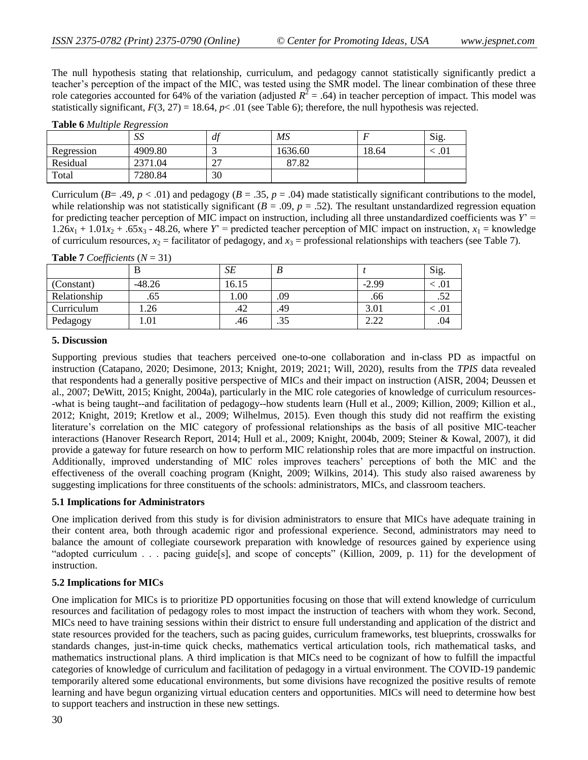The null hypothesis stating that relationship, curriculum, and pedagogy cannot statistically significantly predict a teacher's perception of the impact of the MIC, was tested using the SMR model. The linear combination of these three role categories accounted for 64% of the variation (adjusted  $R^2 = .64$ ) in teacher perception of impact. This model was statistically significant,  $F(3, 27) = 18.64$ ,  $p < .01$  (see Table 6); therefore, the null hypothesis was rejected.

|            | SS      | df                 | MS      |       | <b>Sig</b> |
|------------|---------|--------------------|---------|-------|------------|
| Regression | 4909.80 |                    | 1636.60 | 18.64 | .U 1       |
| Residual   | 2371.04 | $\mathcal{L}$<br>∠ | 87.82   |       |            |
| Total      | 7280.84 | 30                 |         |       |            |

**Table 6** *Multiple Regression*

Curriculum ( $B = .49$ ,  $p < .01$ ) and pedagogy ( $B = .35$ ,  $p = .04$ ) made statistically significant contributions to the model, while relationship was not statistically significant  $(B = .09, p = .52)$ . The resultant unstandardized regression equation for predicting teacher perception of MIC impact on instruction, including all three unstandardized coefficients was  $Y' =$  $1.26x_1 + 1.01x_2 + .65x_3 - 48.26$ , where  $Y' =$  predicted teacher perception of MIC impact on instruction,  $x_1 =$  knowledge of curriculum resources,  $x_2$  = facilitator of pedagogy, and  $x_3$  = professional relationships with teachers (see Table 7).

#### **Table 7** *Coefficients*  $(N = 31)$

| $\bm{\nu}$   |          | SЕ    | Ð   |         | Sig. |
|--------------|----------|-------|-----|---------|------|
| (Constant)   | $-48.26$ | 16.15 |     | $-2.99$ |      |
| Relationship | .65      | 0.00  | .09 | .66     | .JZ  |
| Curriculum   | .26      | .42   | .49 | 3.01    |      |
| Pedagogy     | .01      | .46   | .35 | 2.22    | .04  |

### **5. Discussion**

Supporting previous studies that teachers perceived one-to-one collaboration and in-class PD as impactful on instruction (Catapano, 2020; Desimone, 2013; Knight, 2019; 2021; Will, 2020), results from the *TPIS* data revealed that respondents had a generally positive perspective of MICs and their impact on instruction (AISR, 2004; Deussen et al., 2007; DeWitt, 2015; Knight, 2004a), particularly in the MIC role categories of knowledge of curriculum resources- -what is being taught--and facilitation of pedagogy--how students learn (Hull et al., 2009; Killion, 2009; Killion et al., 2012; Knight, 2019; Kretlow et al., 2009; Wilhelmus, 2015). Even though this study did not reaffirm the existing literature's correlation on the MIC category of professional relationships as the basis of all positive MIC-teacher interactions (Hanover Research Report, 2014; Hull et al., 2009; Knight, 2004b, 2009; Steiner & Kowal, 2007), it did provide a gateway for future research on how to perform MIC relationship roles that are more impactful on instruction. Additionally, improved understanding of MIC roles improves teachers' perceptions of both the MIC and the effectiveness of the overall coaching program (Knight, 2009; Wilkins, 2014). This study also raised awareness by suggesting implications for three constituents of the schools: administrators, MICs, and classroom teachers.

# **5.1 Implications for Administrators**

One implication derived from this study is for division administrators to ensure that MICs have adequate training in their content area, both through academic rigor and professional experience. Second, administrators may need to balance the amount of collegiate coursework preparation with knowledge of resources gained by experience using "adopted curriculum . . . pacing guide[s], and scope of concepts" (Killion, 2009, p. 11) for the development of instruction.

# **5.2 Implications for MICs**

One implication for MICs is to prioritize PD opportunities focusing on those that will extend knowledge of curriculum resources and facilitation of pedagogy roles to most impact the instruction of teachers with whom they work. Second, MICs need to have training sessions within their district to ensure full understanding and application of the district and state resources provided for the teachers, such as pacing guides, curriculum frameworks, test blueprints, crosswalks for standards changes, just-in-time quick checks, mathematics vertical articulation tools, rich mathematical tasks, and mathematics instructional plans. A third implication is that MICs need to be cognizant of how to fulfill the impactful categories of knowledge of curriculum and facilitation of pedagogy in a virtual environment. The COVID-19 pandemic temporarily altered some educational environments, but some divisions have recognized the positive results of remote learning and have begun organizing virtual education centers and opportunities. MICs will need to determine how best to support teachers and instruction in these new settings.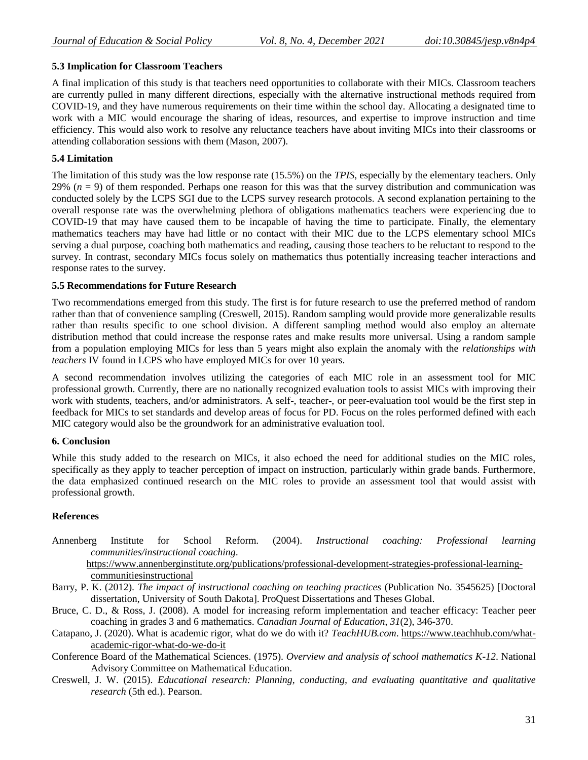# **5.3 Implication for Classroom Teachers**

A final implication of this study is that teachers need opportunities to collaborate with their MICs. Classroom teachers are currently pulled in many different directions, especially with the alternative instructional methods required from COVID-19, and they have numerous requirements on their time within the school day. Allocating a designated time to work with a MIC would encourage the sharing of ideas, resources, and expertise to improve instruction and time efficiency. This would also work to resolve any reluctance teachers have about inviting MICs into their classrooms or attending collaboration sessions with them (Mason, 2007).

# **5.4 Limitation**

The limitation of this study was the low response rate (15.5%) on the *TPIS*, especially by the elementary teachers. Only 29%  $(n = 9)$  of them responded. Perhaps one reason for this was that the survey distribution and communication was conducted solely by the LCPS SGI due to the LCPS survey research protocols. A second explanation pertaining to the overall response rate was the overwhelming plethora of obligations mathematics teachers were experiencing due to COVID-19 that may have caused them to be incapable of having the time to participate. Finally, the elementary mathematics teachers may have had little or no contact with their MIC due to the LCPS elementary school MICs serving a dual purpose, coaching both mathematics and reading, causing those teachers to be reluctant to respond to the survey. In contrast, secondary MICs focus solely on mathematics thus potentially increasing teacher interactions and response rates to the survey.

### **5.5 Recommendations for Future Research**

Two recommendations emerged from this study. The first is for future research to use the preferred method of random rather than that of convenience sampling (Creswell, 2015). Random sampling would provide more generalizable results rather than results specific to one school division. A different sampling method would also employ an alternate distribution method that could increase the response rates and make results more universal. Using a random sample from a population employing MICs for less than 5 years might also explain the anomaly with the *relationships with teachers* IV found in LCPS who have employed MICs for over 10 years.

A second recommendation involves utilizing the categories of each MIC role in an assessment tool for MIC professional growth. Currently, there are no nationally recognized evaluation tools to assist MICs with improving their work with students, teachers, and/or administrators. A self-, teacher-, or peer-evaluation tool would be the first step in feedback for MICs to set standards and develop areas of focus for PD. Focus on the roles performed defined with each MIC category would also be the groundwork for an administrative evaluation tool.

# **6. Conclusion**

While this study added to the research on MICs, it also echoed the need for additional studies on the MIC roles, specifically as they apply to teacher perception of impact on instruction, particularly within grade bands. Furthermore, the data emphasized continued research on the MIC roles to provide an assessment tool that would assist with professional growth.

# **References**

Annenberg Institute for School Reform. (2004). *Instructional coaching: Professional learning communities/instructional coaching*. [https://www.annenberginstitute.org/publications/professional-development-strategies-professional-learning-](https://www.annenberginstitute.org/publications/professional-development-strategies-professional-learning-communitiesinstructional)

[communitiesinstructional](https://www.annenberginstitute.org/publications/professional-development-strategies-professional-learning-communitiesinstructional)

- Barry, P. K. (2012). *The impact of instructional coaching on teaching practices* (Publication No. 3545625) [Doctoral dissertation, University of South Dakota]. ProQuest Dissertations and Theses Global.
- Bruce, C. D., & Ross, J. (2008). A model for increasing reform implementation and teacher efficacy: Teacher peer coaching in grades 3 and 6 mathematics. *Canadian Journal of Education*, *31*(2), 346-370.
- Catapano, J. (2020). What is academic rigor, what do we do with it? *TeachHUB.com*. [https://www.teachhub.com/what](https://www.teachhub.com/what-academic-rigor-what-do-we-do-it)[academic-rigor-what-do-we-do-it](https://www.teachhub.com/what-academic-rigor-what-do-we-do-it)
- Conference Board of the Mathematical Sciences. (1975). *Overview and analysis of school mathematics K-12*. National Advisory Committee on Mathematical Education.
- Creswell, J. W. (2015). *Educational research: Planning, conducting, and evaluating quantitative and qualitative research* (5th ed.). Pearson.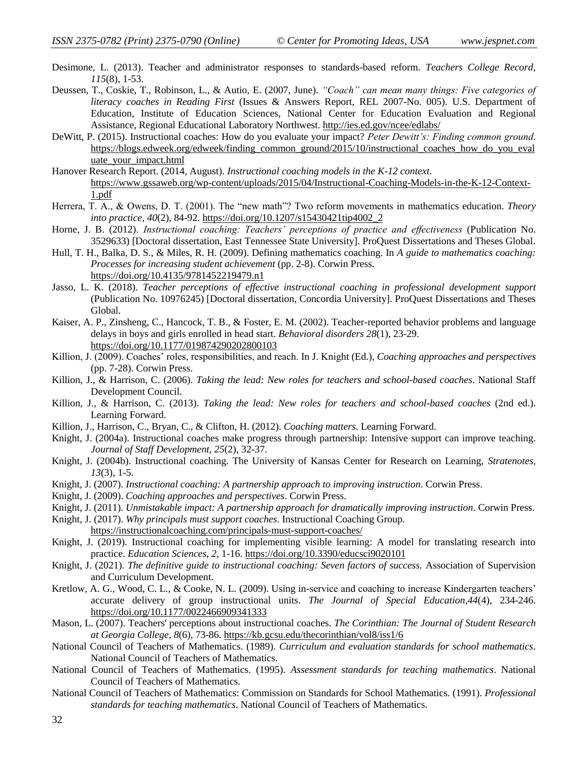- Desimone, L. (2013). Teacher and administrator responses to standards-based reform. *Teachers College Record, 115*(8), 1-53.
- Deussen, T., Coskie, T., Robinson, L., & Autio, E. (2007, June). *"Coach" can mean many things: Five categories of literacy coaches in Reading First* (Issues & Answers Report, REL 2007-No. 005). U.S. Department of Education, Institute of Education Sciences, National Center for Education Evaluation and Regional Assistance, Regional Educational Laboratory Northwest.<http://ies.ed.gov/ncee/edlabs/>
- DeWitt, P. (2015). Instructional coaches: How do you evaluate your impact? *Peter Dewitt's: Finding common ground*. [https://blogs.edweek.org/edweek/finding\\_common\\_ground/2015/10/instructional\\_coaches\\_how\\_do\\_you\\_eval](https://blogs.edweek.org/edweek/finding_common_ground/2015/10/instructional_coaches_how_do_you_evaluate_your_impact.html) [uate\\_your\\_impact.html](https://blogs.edweek.org/edweek/finding_common_ground/2015/10/instructional_coaches_how_do_you_evaluate_your_impact.html)
- Hanover Research Report. (2014, August). *Instructional coaching models in the K-12 context*. [https://www.gssaweb.org/wp-content/uploads/2015/04/Instructional-Coaching-Models-in-the-K-12-Context-](https://www.gssaweb.org/wp-content/uploads/2015/04/Instructional-Coaching-Models-in-the-K-12-Context-1.pdf)[1.pdf](https://www.gssaweb.org/wp-content/uploads/2015/04/Instructional-Coaching-Models-in-the-K-12-Context-1.pdf)
- Herrera, T. A., & Owens, D. T. (2001). The "new math"? Two reform movements in mathematics education. *Theory into practice, 40*(2), 84-92. [https://doi.org/10.1207/s15430421tip4002\\_2](https://doi.org/10.1207/s15430421tip4002_2)
- Horne, J. B. (2012). *Instructional coaching: Teachers' perceptions of practice and effectiveness* (Publication No. 3529633) [Doctoral dissertation, East Tennessee State University]. ProQuest Dissertations and Theses Global.
- Hull, T. H., Balka, D. S., & Miles, R. H. (2009). Defining mathematics coaching. In *A guide to mathematics coaching: Processes for increasing student achievement* (pp. 2-8). Corwin Press. <https://doi.org/10.4135/9781452219479.n1>
- Jasso, L. K. (2018). *Teacher perceptions of effective instructional coaching in professional development support* (Publication No. 10976245) [Doctoral dissertation, Concordia University]. ProQuest Dissertations and Theses Global.
- Kaiser, A. P., Zinsheng, C., Hancock, T. B., & Foster, E. M. (2002). Teacher-reported behavior problems and language delays in boys and girls enrolled in head start. *Behavioral disorders 28*(1), 23-29. [https://doi.org/10.1177/019874290202800103](https://doi.org/10.1177%2F019874290202800103)
- Killion, J. (2009). Coaches' roles, responsibilities, and reach. In J. Knight (Ed.), *Coaching approaches and perspectives* (pp. 7-28). Corwin Press.
- Killion, J., & Harrison, C. (2006). *Taking the lead: New roles for teachers and school-based coaches*. National Staff Development Council.
- Killion, J., & Harrison, C. (2013). *Taking the lead: New roles for teachers and school-based coaches* (2nd ed.). Learning Forward.
- Killion, J., Harrison, C., Bryan, C., & Clifton, H. (2012). *Coaching matters*. Learning Forward.
- Knight, J. (2004a). Instructional coaches make progress through partnership: Intensive support can improve teaching. *Journal of Staff Development, 25*(2), 32-37.
- Knight, J. (2004b). Instructional coaching. The University of Kansas Center for Research on Learning, *Stratenotes, 13*(3), 1-5.
- Knight, J. (2007). *Instructional coaching: A partnership approach to improving instruction*. Corwin Press.
- Knight, J. (2009). *Coaching approaches and perspectives*. Corwin Press.
- Knight, J. (2011). *Unmistakable impact: A partnership approach for dramatically improving instruction*. Corwin Press.
- Knight, J. (2017). *Why principals must support coaches*. Instructional Coaching Group. <https://instructionalcoaching.com/principals-must-support-coaches/>
- Knight, J. (2019). Instructional coaching for implementing visible learning: A model for translating research into practice. *Education Sciences*, *2*, 1-16.<https://doi.org/10.3390/educsci9020101>
- Knight, J. (2021). *The definitive guide to instructional coaching: Seven factors of success.* Association of Supervision and Curriculum Development.
- Kretlow, A. G., Wood, C. L., & Cooke, N. L. (2009). Using in-service and coaching to increase Kindergarten teachers' accurate delivery of group instructional units. *The Journal of Special Education,44*(4), 234-246. [https://doi.org/10.1177/0022466909341333](https://doi.org/10.1177%2F0022466909341333)
- Mason, L. (2007). Teachers' perceptions about instructional coaches. *The Corinthian: The Journal of Student Research at Georgia College, 8*(6), 73-86.<https://kb.gcsu.edu/thecorinthian/vol8/iss1/6>
- National Council of Teachers of Mathematics. (1989). *Curriculum and evaluation standards for school mathematics*. National Council of Teachers of Mathematics.
- National Council of Teachers of Mathematics. (1995). *Assessment standards for teaching mathematics*. National Council of Teachers of Mathematics.
- National Council of Teachers of Mathematics: Commission on Standards for School Mathematics. (1991). *Professional standards for teaching mathematics*. National Council of Teachers of Mathematics.